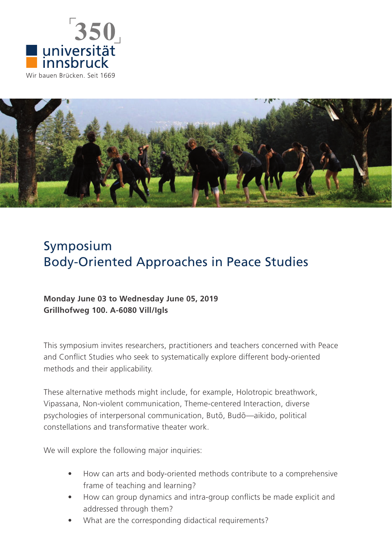



# Symposium Body-Oriented Approaches in Peace Studies

## **Monday June 03 to Wednesday June 05, 2019 Grillhofweg 100. A-6080 Vill/Igls**

This symposium invites researchers, practitioners and teachers concerned with Peace and Conflict Studies who seek to systematically explore different body-oriented methods and their applicability.

These alternative methods might include, for example, Holotropic breathwork, Vipassana, Non-violent communication, Theme-centered Interaction, diverse psychologies of interpersonal communication, Butō, Budō—aikido, political constellations and transformative theater work.

We will explore the following major inquiries:

- How can arts and body-oriented methods contribute to a comprehensive frame of teaching and learning?
- How can group dynamics and intra-group conflicts be made explicit and addressed through them?
- What are the corresponding didactical requirements?